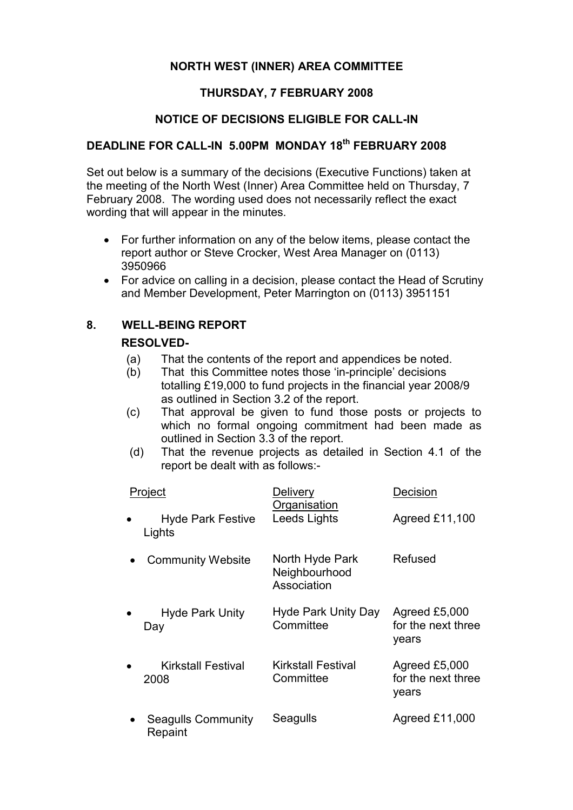## NORTH WEST (INNER) AREA COMMITTEE

## THURSDAY, 7 FEBRUARY 2008

### NOTICE OF DECISIONS ELIGIBLE FOR CALL-IN

# DEADLINE FOR CALL-IN 5.00PM MONDAY 18<sup>th</sup> FEBRUARY 2008

Set out below is a summary of the decisions (Executive Functions) taken at the meeting of the North West (Inner) Area Committee held on Thursday, 7 February 2008. The wording used does not necessarily reflect the exact wording that will appear in the minutes.

- For further information on any of the below items, please contact the report author or Steve Crocker, West Area Manager on (0113) 3950966
- For advice on calling in a decision, please contact the Head of Scrutiny and Member Development, Peter Marrington on (0113) 3951151

### 8. WELL-BEING REPORT

#### RESOLVED-

- (a) That the contents of the report and appendices be noted.
- (b) That this Committee notes those 'in-principle' decisions totalling £19,000 to fund projects in the financial year 2008/9 as outlined in Section 3.2 of the report.
- (c) That approval be given to fund those posts or projects to which no formal ongoing commitment had been made as outlined in Section 3.3 of the report.
- (d) That the revenue projects as detailed in Section 4.1 of the report be dealt with as follows:-

| Project |                                      | Delivery<br>Organisation                        | Decision                                     |
|---------|--------------------------------------|-------------------------------------------------|----------------------------------------------|
|         | <b>Hyde Park Festive</b><br>Lights   | Leeds Lights                                    | Agreed £11,100                               |
|         | <b>Community Website</b>             | North Hyde Park<br>Neighbourhood<br>Association | Refused                                      |
|         | <b>Hyde Park Unity</b><br>Day        | Hyde Park Unity Day<br>Committee                | Agreed £5,000<br>for the next three<br>years |
|         | Kirkstall Festival<br>2008           | Kirkstall Festival<br>Committee                 | Agreed £5,000<br>for the next three<br>years |
|         | <b>Seagulls Community</b><br>Repaint | Seagulls                                        | Agreed £11,000                               |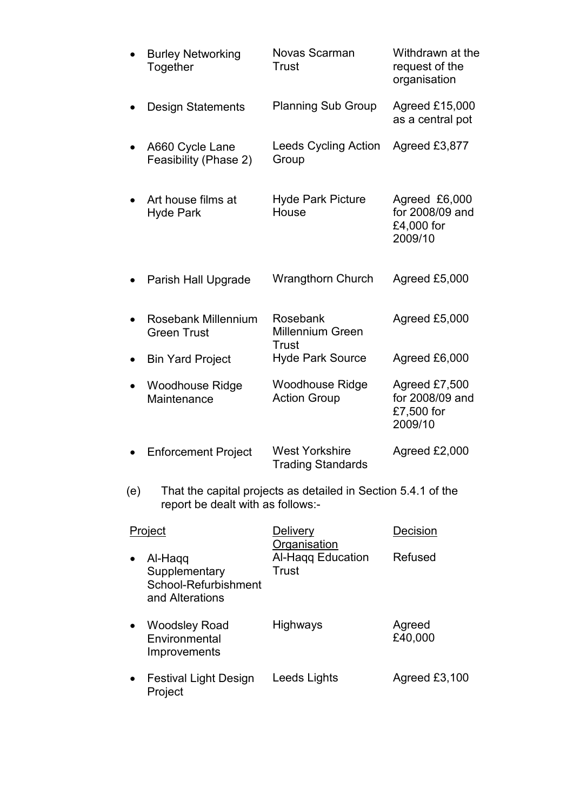|     | <b>Burley Networking</b><br>Together                                                               | Novas Scarman<br>Trust                            | Withdrawn at the<br>request of the<br>organisation        |  |  |
|-----|----------------------------------------------------------------------------------------------------|---------------------------------------------------|-----------------------------------------------------------|--|--|
|     | <b>Design Statements</b>                                                                           | <b>Planning Sub Group</b>                         | Agreed £15,000<br>as a central pot                        |  |  |
|     | A660 Cycle Lane<br>Feasibility (Phase 2)                                                           | Leeds Cycling Action<br>Group                     | Agreed £3,877                                             |  |  |
|     | Art house films at<br><b>Hyde Park</b>                                                             | <b>Hyde Park Picture</b><br>House                 | Agreed £6,000<br>for 2008/09 and<br>£4,000 for<br>2009/10 |  |  |
|     | Parish Hall Upgrade                                                                                | <b>Wrangthorn Church</b>                          | Agreed £5,000                                             |  |  |
|     | Rosebank Millennium<br><b>Green Trust</b>                                                          | Rosebank<br><b>Millennium Green</b>               | Agreed £5,000                                             |  |  |
|     | <b>Bin Yard Project</b>                                                                            | Trust<br><b>Hyde Park Source</b>                  | Agreed £6,000                                             |  |  |
|     | <b>Woodhouse Ridge</b><br>Maintenance                                                              | <b>Woodhouse Ridge</b><br><b>Action Group</b>     | Agreed £7,500<br>for 2008/09 and<br>£7,500 for<br>2009/10 |  |  |
|     | <b>Enforcement Project</b>                                                                         | <b>West Yorkshire</b><br><b>Trading Standards</b> | Agreed £2,000                                             |  |  |
| (e) | That the capital projects as detailed in Section 5.4.1 of the<br>report be dealt with as follows:- |                                                   |                                                           |  |  |
|     | <b>Project</b>                                                                                     | <b>Delivery</b>                                   | Decision                                                  |  |  |
|     | Al-Haqq<br>Supplementary<br>School-Refurbishment<br>and Alterations                                | <b>Organisation</b><br>Al-Haqq Education<br>Trust | Refused                                                   |  |  |
|     | <b>Woodsley Road</b><br>Environmental<br>Improvements                                              | Highways                                          | Agreed<br>£40,000                                         |  |  |
|     | <b>Festival Light Design</b><br>Project                                                            | Leeds Lights                                      | Agreed £3,100                                             |  |  |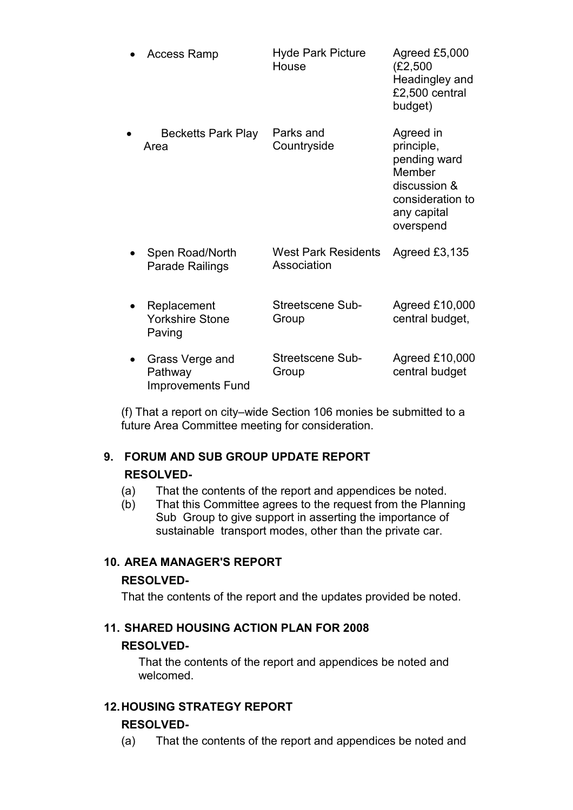| <b>Access Ramp</b>                                     | <b>Hyde Park Picture</b><br>House         | Agreed £5,000<br>(E2, 500)<br>Headingley and<br>£2,500 central<br>budget)                                         |
|--------------------------------------------------------|-------------------------------------------|-------------------------------------------------------------------------------------------------------------------|
| <b>Becketts Park Play</b><br>Area                      | Parks and<br>Countryside                  | Agreed in<br>principle,<br>pending ward<br>Member<br>discussion &<br>consideration to<br>any capital<br>overspend |
| Spen Road/North<br>Parade Railings                     | <b>West Park Residents</b><br>Association | Agreed £3,135                                                                                                     |
| Replacement<br><b>Yorkshire Stone</b><br>Paving        | Streetscene Sub-<br>Group                 | Agreed £10,000<br>central budget,                                                                                 |
| Grass Verge and<br>Pathway<br><b>Improvements Fund</b> | Streetscene Sub-<br>Group                 | Agreed £10,000<br>central budget                                                                                  |

(f) That a report on city–wide Section 106 monies be submitted to a future Area Committee meeting for consideration.

#### 9. FORUM AND SUB GROUP UPDATE REPORT

#### RESOLVED-

- (a) That the contents of the report and appendices be noted.
- (b) That this Committee agrees to the request from the Planning Sub Group to give support in asserting the importance of sustainable transport modes, other than the private car.

## 10. AREA MANAGER'S REPORT

#### RESOLVED-

That the contents of the report and the updates provided be noted.

### 11. SHARED HOUSING ACTION PLAN FOR 2008

#### RESOLVED-

That the contents of the report and appendices be noted and welcomed.

## 12. HOUSING STRATEGY REPORT

#### RESOLVED-

(a) That the contents of the report and appendices be noted and